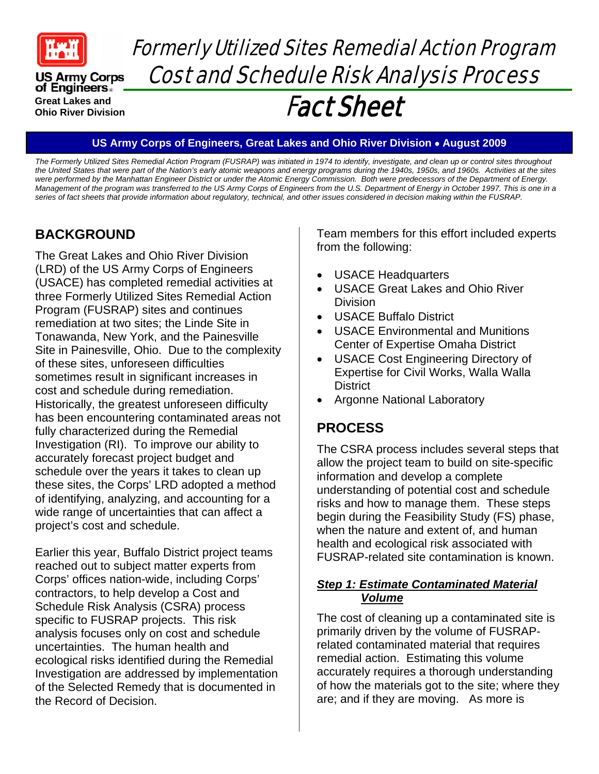

**US Army Corps** of Engineers. **Great Lakes and Ohio River Division** 

# Formerly Utilized Sites Remedial Action Program Cost and Schedule Risk Analysis Process

# Fact Sheet

#### **US Army Corps of Engineers, Great Lakes and Ohio River Division August 2009**

*The Formerly Utilized Sites Remedial Action Program (FUSRAP) was initiated in 1974 to identify, investigate, and clean up or control sites throughout the United States that were part of the Nation's early atomic weapons and energy programs during the 1940s, 1950s, and 1960s. Activities at the sites were performed by the Manhattan Engineer District or under the Atomic Energy Commission. Both were predecessors of the Department of Energy. Management of the program was transferred to the US Army Corps of Engineers from the U.S. Department of Energy in October 1997. This is one in a series of fact sheets that provide information about regulatory, technical, and other issues considered in decision making within the FUSRAP.*

# **BACKGROUND**

The Great Lakes and Ohio River Division (LRD) of the US Army Corps of Engineers (USACE) has completed remedial activities at three Formerly Utilized Sites Remedial Action Program (FUSRAP) sites and continues remediation at two sites; the Linde Site in Tonawanda, New York, and the Painesville Site in Painesville, Ohio. Due to the complexity of these sites, unforeseen difficulties sometimes result in significant increases in cost and schedule during remediation. Historically, the greatest unforeseen difficulty has been encountering contaminated areas not fully characterized during the Remedial Investigation (RI). To improve our ability to accurately forecast project budget and schedule over the years it takes to clean up these sites, the Corps' LRD adopted a method of identifying, analyzing, and accounting for a wide range of uncertainties that can affect a project's cost and schedule.

Earlier this year, Buffalo District project teams reached out to subject matter experts from Corps' offices nation-wide, including Corps' contractors, to help develop a Cost and Schedule Risk Analysis (CSRA) process specific to FUSRAP projects. This risk analysis focuses only on cost and schedule uncertainties. The human health and ecological risks identified during the Remedial Investigation are addressed by implementation of the Selected Remedy that is documented in the Record of Decision.

Team members for this effort included experts from the following:

- USACE Headquarters
- USACE Great Lakes and Ohio River **Division**
- USACE Buffalo District
- USACE Environmental and Munitions Center of Expertise Omaha District
- USACE Cost Engineering Directory of Expertise for Civil Works, Walla Walla **District**
- Argonne National Laboratory

# **PROCESS**

The CSRA process includes several steps that allow the project team to build on site-specific information and develop a complete understanding of potential cost and schedule risks and how to manage them. These steps begin during the Feasibility Study (FS) phase, when the nature and extent of, and human health and ecological risk associated with FUSRAP-related site contamination is known.

#### *Step 1: Estimate Contaminated Material Volume*

The cost of cleaning up a contaminated site is primarily driven by the volume of FUSRAPrelated contaminated material that requires remedial action. Estimating this volume accurately requires a thorough understanding of how the materials got to the site; where they are; and if they are moving. As more is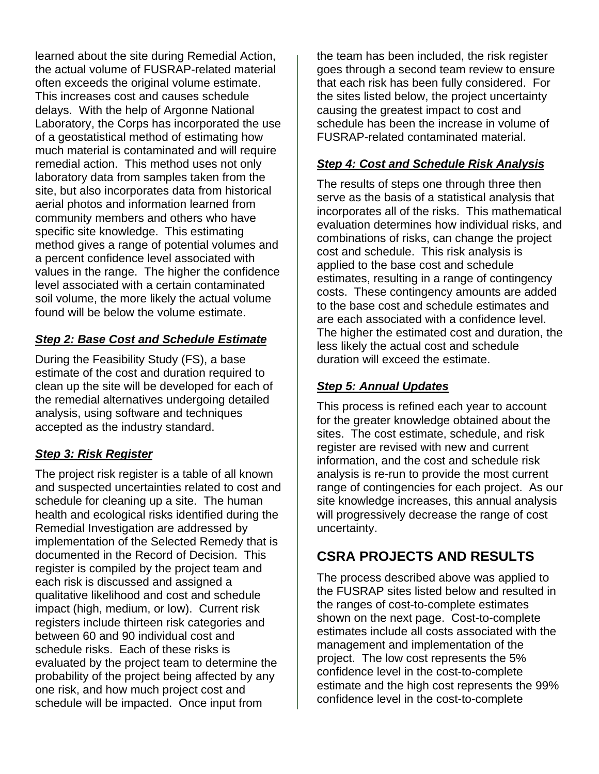learned about the site during Remedial Action, the actual volume of FUSRAP-related material often exceeds the original volume estimate. This increases cost and causes schedule delays. With the help of Argonne National Laboratory, the Corps has incorporated the use of a geostatistical method of estimating how much material is contaminated and will require remedial action. This method uses not only laboratory data from samples taken from the site, but also incorporates data from historical aerial photos and information learned from community members and others who have specific site knowledge. This estimating method gives a range of potential volumes and a percent confidence level associated with values in the range. The higher the confidence level associated with a certain contaminated soil volume, the more likely the actual volume found will be below the volume estimate.

#### *Step 2: Base Cost and Schedule Estimate*

During the Feasibility Study (FS), a base estimate of the cost and duration required to clean up the site will be developed for each of the remedial alternatives undergoing detailed analysis, using software and techniques accepted as the industry standard.

#### *Step 3: Risk Register*

The project risk register is a table of all known and suspected uncertainties related to cost and schedule for cleaning up a site. The human health and ecological risks identified during the Remedial Investigation are addressed by implementation of the Selected Remedy that is documented in the Record of Decision. This register is compiled by the project team and each risk is discussed and assigned a qualitative likelihood and cost and schedule impact (high, medium, or low). Current risk registers include thirteen risk categories and between 60 and 90 individual cost and schedule risks. Each of these risks is evaluated by the project team to determine the probability of the project being affected by any one risk, and how much project cost and schedule will be impacted. Once input from

the team has been included, the risk register goes through a second team review to ensure that each risk has been fully considered. For the sites listed below, the project uncertainty causing the greatest impact to cost and schedule has been the increase in volume of FUSRAP-related contaminated material.

#### *Step 4: Cost and Schedule Risk Analysis*

The results of steps one through three then serve as the basis of a statistical analysis that incorporates all of the risks. This mathematical evaluation determines how individual risks, and combinations of risks, can change the project cost and schedule. This risk analysis is applied to the base cost and schedule estimates, resulting in a range of contingency costs. These contingency amounts are added to the base cost and schedule estimates and are each associated with a confidence level. The higher the estimated cost and duration, the less likely the actual cost and schedule duration will exceed the estimate.

#### *Step 5: Annual Updates*

This process is refined each year to account for the greater knowledge obtained about the sites. The cost estimate, schedule, and risk register are revised with new and current information, and the cost and schedule risk analysis is re-run to provide the most current range of contingencies for each project. As our site knowledge increases, this annual analysis will progressively decrease the range of cost uncertainty.

### **CSRA PROJECTS AND RESULTS**

The process described above was applied to the FUSRAP sites listed below and resulted in the ranges of cost-to-complete estimates shown on the next page. Cost-to-complete estimates include all costs associated with the management and implementation of the project. The low cost represents the 5% confidence level in the cost-to-complete estimate and the high cost represents the 99% confidence level in the cost-to-complete